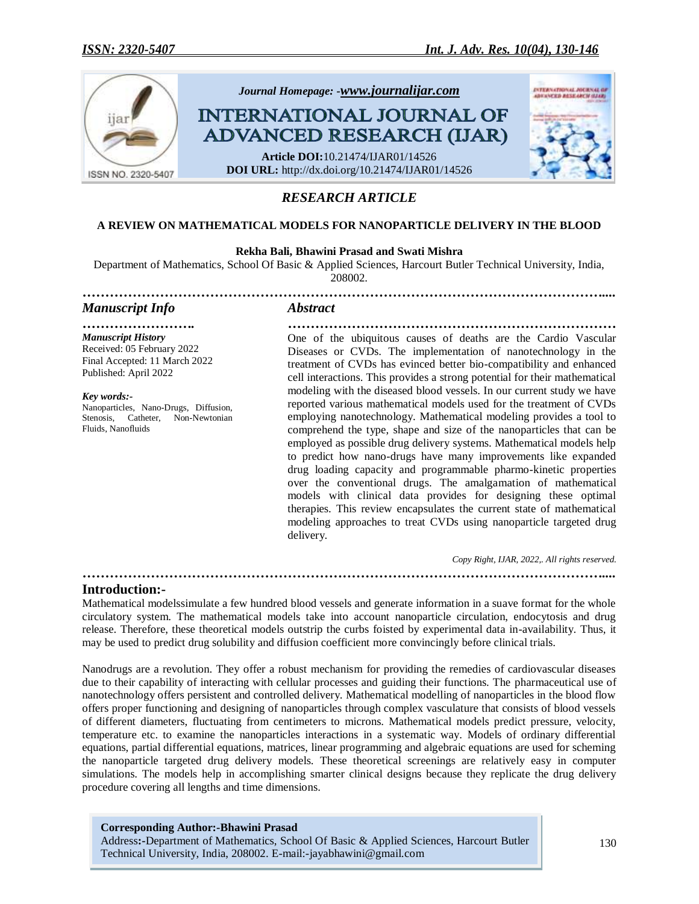

# *RESEARCH ARTICLE*

# **A REVIEW ON MATHEMATICAL MODELS FOR NANOPARTICLE DELIVERY IN THE BLOOD**

# **Rekha Bali, Bhawini Prasad and Swati Mishra**

Department of Mathematics, School Of Basic & Applied Sciences, Harcourt Butler Technical University, India, 208002.

*……………………………………………………………………………………………………....*

*Manuscript Info Abstract*

*Manuscript History* Received: 05 February 2022 Final Accepted: 11 March 2022 Published: April 2022

*Key words:-* Nanoparticles, Nano-Drugs, Diffusion, Stenosis, Catheter, Non-Newtonian Fluids, Nanofluids

*……………………. ………………………………………………………………* One of the ubiquitous causes of deaths are the Cardio Vascular Diseases or CVDs. The implementation of nanotechnology in the treatment of CVDs has evinced better bio-compatibility and enhanced cell interactions. This provides a strong potential for their mathematical modeling with the diseased blood vessels. In our current study we have reported various mathematical models used for the treatment of CVDs employing nanotechnology. Mathematical modeling provides a tool to comprehend the type, shape and size of the nanoparticles that can be employed as possible drug delivery systems. Mathematical models help to predict how nano-drugs have many improvements like expanded drug loading capacity and programmable pharmo-kinetic properties over the conventional drugs. The amalgamation of mathematical models with clinical data provides for designing these optimal therapies. This review encapsulates the current state of mathematical modeling approaches to treat CVDs using nanoparticle targeted drug delivery.

*Copy Right, IJAR, 2022,. All rights reserved.*

# **Introduction:-**

Mathematical modelssimulate a few hundred blood vessels and generate information in a suave format for the whole circulatory system. The mathematical models take into account nanoparticle circulation, endocytosis and drug release. Therefore, these theoretical models outstrip the curbs foisted by experimental data in-availability. Thus, it may be used to predict drug solubility and diffusion coefficient more convincingly before clinical trials.

*……………………………………………………………………………………………………....*

Nanodrugs are a revolution. They offer a robust mechanism for providing the remedies of cardiovascular diseases due to their capability of interacting with cellular processes and guiding their functions. The pharmaceutical use of nanotechnology offers persistent and controlled delivery. Mathematical modelling of nanoparticles in the blood flow offers proper functioning and designing of nanoparticles through complex vasculature that consists of blood vessels of different diameters, fluctuating from centimeters to microns. Mathematical models predict pressure, velocity, temperature etc. to examine the nanoparticles interactions in a systematic way. Models of ordinary differential equations, partial differential equations, matrices, linear programming and algebraic equations are used for scheming the nanoparticle targeted drug delivery models. These theoretical screenings are relatively easy in computer simulations. The models help in accomplishing smarter clinical designs because they replicate the drug delivery procedure covering all lengths and time dimensions.

**Corresponding Author:-Bhawini Prasad** Address**:-**Department of Mathematics, School Of Basic & Applied Sciences, Harcourt Butler Technical University, India, 208002. E-mail:-jayabhawini@gmail.com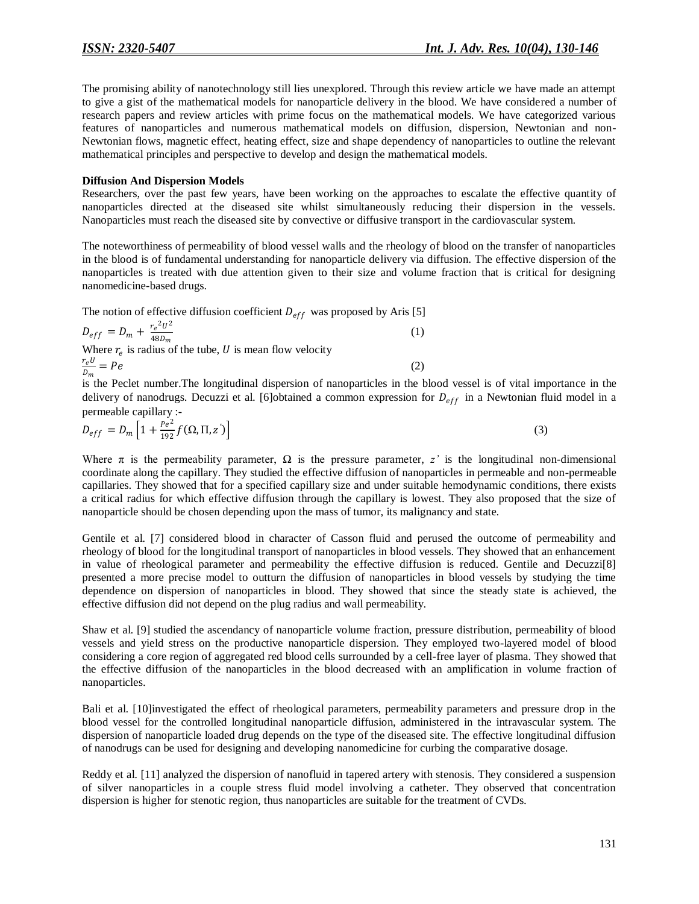The promising ability of nanotechnology still lies unexplored. Through this review article we have made an attempt to give a gist of the mathematical models for nanoparticle delivery in the blood. We have considered a number of research papers and review articles with prime focus on the mathematical models. We have categorized various features of nanoparticles and numerous mathematical models on diffusion, dispersion, Newtonian and non-Newtonian flows, magnetic effect, heating effect, size and shape dependency of nanoparticles to outline the relevant mathematical principles and perspective to develop and design the mathematical models.

#### **Diffusion And Dispersion Models**

Researchers, over the past few years, have been working on the approaches to escalate the effective quantity of nanoparticles directed at the diseased site whilst simultaneously reducing their dispersion in the vessels. Nanoparticles must reach the diseased site by convective or diffusive transport in the cardiovascular system.

The noteworthiness of permeability of blood vessel walls and the rheology of blood on the transfer of nanoparticles in the blood is of fundamental understanding for nanoparticle delivery via diffusion. The effective dispersion of the nanoparticles is treated with due attention given to their size and volume fraction that is critical for designing nanomedicine-based drugs.

The notion of effective diffusion coefficient  $D_{eff}$  was proposed by Aris [5]

$$
D_{eff} = D_m + \frac{r_e^2 U^2}{48 D_m}
$$
  
Where  $r_e$  is radius of the tube, *U* is mean flow velocity  

$$
\frac{r_e U}{D_m} = Pe
$$
 (2)

is the Peclet number.The longitudinal dispersion of nanoparticles in the blood vessel is of vital importance in the delivery of nanodrugs. Decuzzi et al. [6]obtained a common expression for  $D_{eff}$  in a Newtonian fluid model in a permeable capillary :-

$$
D_{eff} = D_m \left[ 1 + \frac{Pe^2}{192} f(\Omega, \Pi, z') \right]
$$
 (3)

Where  $\pi$  is the permeability parameter,  $\Omega$  is the pressure parameter, *z'* is the longitudinal non-dimensional coordinate along the capillary. They studied the effective diffusion of nanoparticles in permeable and non-permeable capillaries. They showed that for a specified capillary size and under suitable hemodynamic conditions, there exists a critical radius for which effective diffusion through the capillary is lowest. They also proposed that the size of nanoparticle should be chosen depending upon the mass of tumor, its malignancy and state.

Gentile et al. [7] considered blood in character of Casson fluid and perused the outcome of permeability and rheology of blood for the longitudinal transport of nanoparticles in blood vessels. They showed that an enhancement in value of rheological parameter and permeability the effective diffusion is reduced. Gentile and Decuzzi[8] presented a more precise model to outturn the diffusion of nanoparticles in blood vessels by studying the time dependence on dispersion of nanoparticles in blood. They showed that since the steady state is achieved, the effective diffusion did not depend on the plug radius and wall permeability.

Shaw et al. [9] studied the ascendancy of nanoparticle volume fraction, pressure distribution, permeability of blood vessels and yield stress on the productive nanoparticle dispersion. They employed two-layered model of blood considering a core region of aggregated red blood cells surrounded by a cell-free layer of plasma. They showed that the effective diffusion of the nanoparticles in the blood decreased with an amplification in volume fraction of nanoparticles.

Bali et al. [10]investigated the effect of rheological parameters, permeability parameters and pressure drop in the blood vessel for the controlled longitudinal nanoparticle diffusion, administered in the intravascular system. The dispersion of nanoparticle loaded drug depends on the type of the diseased site. The effective longitudinal diffusion of nanodrugs can be used for designing and developing nanomedicine for curbing the comparative dosage.

Reddy et al. [11] analyzed the dispersion of nanofluid in tapered artery with stenosis. They considered a suspension of silver nanoparticles in a couple stress fluid model involving a catheter. They observed that concentration dispersion is higher for stenotic region, thus nanoparticles are suitable for the treatment of CVDs.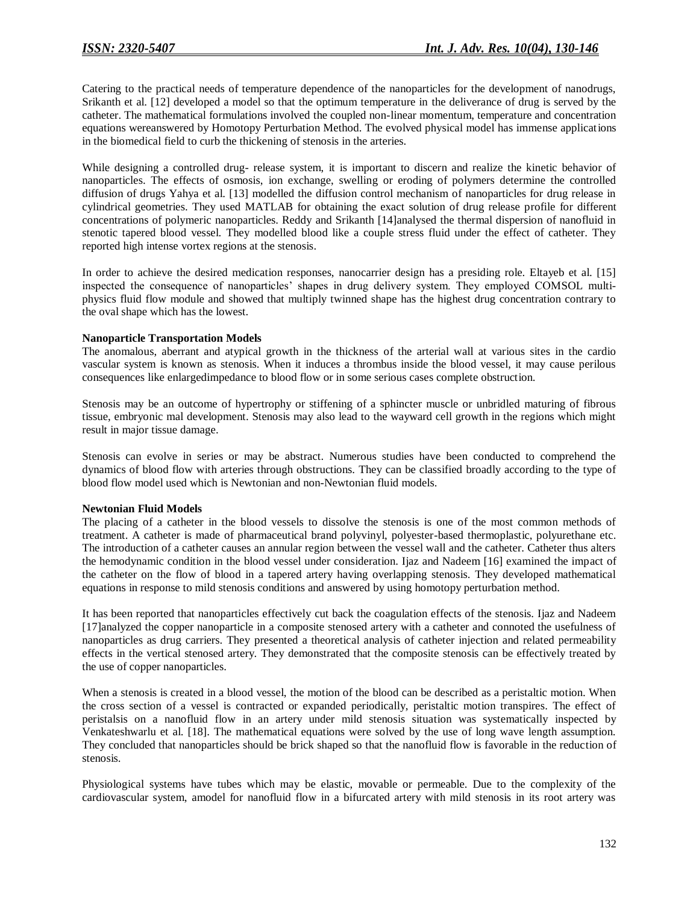Catering to the practical needs of temperature dependence of the nanoparticles for the development of nanodrugs, Srikanth et al. [12] developed a model so that the optimum temperature in the deliverance of drug is served by the catheter. The mathematical formulations involved the coupled non-linear momentum, temperature and concentration equations wereanswered by Homotopy Perturbation Method. The evolved physical model has immense applications in the biomedical field to curb the thickening of stenosis in the arteries.

While designing a controlled drug- release system, it is important to discern and realize the kinetic behavior of nanoparticles. The effects of osmosis, ion exchange, swelling or eroding of polymers determine the controlled diffusion of drugs Yahya et al. [13] modelled the diffusion control mechanism of nanoparticles for drug release in cylindrical geometries. They used MATLAB for obtaining the exact solution of drug release profile for different concentrations of polymeric nanoparticles. Reddy and Srikanth [14]analysed the thermal dispersion of nanofluid in stenotic tapered blood vessel. They modelled blood like a couple stress fluid under the effect of catheter. They reported high intense vortex regions at the stenosis.

In order to achieve the desired medication responses, nanocarrier design has a presiding role. Eltayeb et al. [15] inspected the consequence of nanoparticles' shapes in drug delivery system. They employed COMSOL multiphysics fluid flow module and showed that multiply twinned shape has the highest drug concentration contrary to the oval shape which has the lowest.

# **Nanoparticle Transportation Models**

The anomalous, aberrant and atypical growth in the thickness of the arterial wall at various sites in the cardio vascular system is known as stenosis. When it induces a thrombus inside the blood vessel, it may cause perilous consequences like enlargedimpedance to blood flow or in some serious cases complete obstruction.

Stenosis may be an outcome of hypertrophy or stiffening of a sphincter muscle or unbridled maturing of fibrous tissue, embryonic mal development. Stenosis may also lead to the wayward cell growth in the regions which might result in major tissue damage.

Stenosis can evolve in series or may be abstract. Numerous studies have been conducted to comprehend the dynamics of blood flow with arteries through obstructions. They can be classified broadly according to the type of blood flow model used which is Newtonian and non-Newtonian fluid models.

# **Newtonian Fluid Models**

The placing of a catheter in the blood vessels to dissolve the stenosis is one of the most common methods of treatment. A catheter is made of pharmaceutical brand polyvinyl, polyester-based thermoplastic, polyurethane etc. The introduction of a catheter causes an annular region between the vessel wall and the catheter. Catheter thus alters the hemodynamic condition in the blood vessel under consideration. Ijaz and Nadeem [16] examined the impact of the catheter on the flow of blood in a tapered artery having overlapping stenosis. They developed mathematical equations in response to mild stenosis conditions and answered by using homotopy perturbation method.

It has been reported that nanoparticles effectively cut back the coagulation effects of the stenosis. Ijaz and Nadeem [17]analyzed the copper nanoparticle in a composite stenosed artery with a catheter and connoted the usefulness of nanoparticles as drug carriers. They presented a theoretical analysis of catheter injection and related permeability effects in the vertical stenosed artery. They demonstrated that the composite stenosis can be effectively treated by the use of copper nanoparticles.

When a stenosis is created in a blood vessel, the motion of the blood can be described as a peristaltic motion. When the cross section of a vessel is contracted or expanded periodically, peristaltic motion transpires. The effect of peristalsis on a nanofluid flow in an artery under mild stenosis situation was systematically inspected by Venkateshwarlu et al. [18]. The mathematical equations were solved by the use of long wave length assumption. They concluded that nanoparticles should be brick shaped so that the nanofluid flow is favorable in the reduction of stenosis.

Physiological systems have tubes which may be elastic, movable or permeable. Due to the complexity of the cardiovascular system, amodel for nanofluid flow in a bifurcated artery with mild stenosis in its root artery was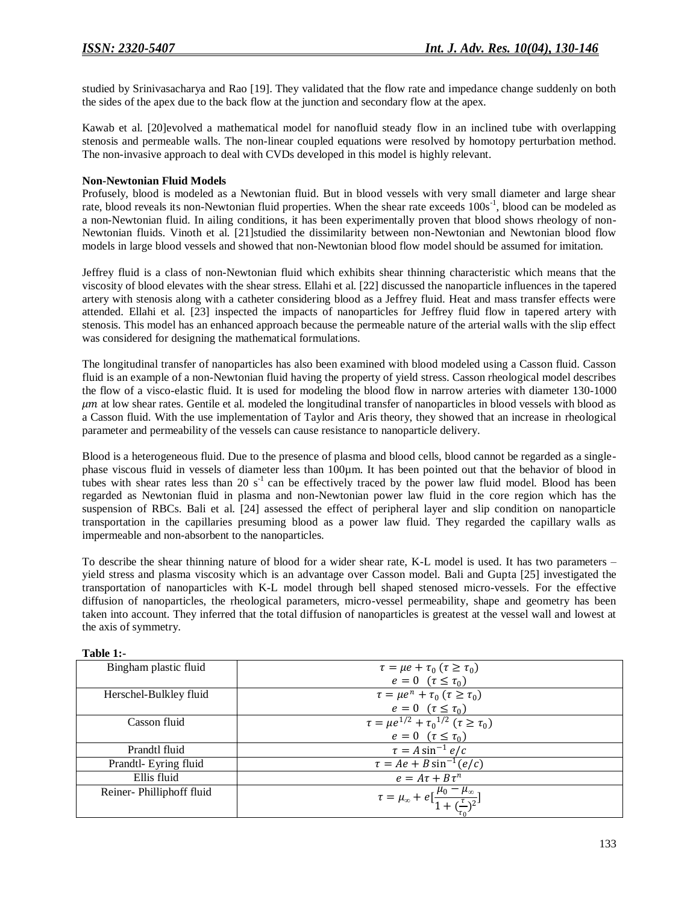studied by Srinivasacharya and Rao [19]. They validated that the flow rate and impedance change suddenly on both the sides of the apex due to the back flow at the junction and secondary flow at the apex.

Kawab et al. [20]evolved a mathematical model for nanofluid steady flow in an inclined tube with overlapping stenosis and permeable walls. The non-linear coupled equations were resolved by homotopy perturbation method. The non-invasive approach to deal with CVDs developed in this model is highly relevant.

#### **Non-Newtonian Fluid Models**

Profusely, blood is modeled as a Newtonian fluid. But in blood vessels with very small diameter and large shear rate, blood reveals its non-Newtonian fluid properties. When the shear rate exceeds 100s<sup>-1</sup>, blood can be modeled as a non-Newtonian fluid. In ailing conditions, it has been experimentally proven that blood shows rheology of non-Newtonian fluids. Vinoth et al. [21]studied the dissimilarity between non-Newtonian and Newtonian blood flow models in large blood vessels and showed that non-Newtonian blood flow model should be assumed for imitation.

Jeffrey fluid is a class of non-Newtonian fluid which exhibits shear thinning characteristic which means that the viscosity of blood elevates with the shear stress. Ellahi et al. [22] discussed the nanoparticle influences in the tapered artery with stenosis along with a catheter considering blood as a Jeffrey fluid. Heat and mass transfer effects were attended. Ellahi et al. [23] inspected the impacts of nanoparticles for Jeffrey fluid flow in tapered artery with stenosis. This model has an enhanced approach because the permeable nature of the arterial walls with the slip effect was considered for designing the mathematical formulations.

The longitudinal transfer of nanoparticles has also been examined with blood modeled using a Casson fluid. Casson fluid is an example of a non-Newtonian fluid having the property of yield stress. Casson rheological model describes the flow of a visco-elastic fluid. It is used for modeling the blood flow in narrow arteries with diameter 130-1000  $\mu$ m at low shear rates. Gentile et al. modeled the longitudinal transfer of nanoparticles in blood vessels with blood as a Casson fluid. With the use implementation of Taylor and Aris theory, they showed that an increase in rheological parameter and permeability of the vessels can cause resistance to nanoparticle delivery.

Blood is a heterogeneous fluid. Due to the presence of plasma and blood cells, blood cannot be regarded as a singlephase viscous fluid in vessels of diameter less than 100µm. It has been pointed out that the behavior of blood in tubes with shear rates less than 20  $s<sup>-1</sup>$  can be effectively traced by the power law fluid model. Blood has been regarded as Newtonian fluid in plasma and non-Newtonian power law fluid in the core region which has the suspension of RBCs. Bali et al. [24] assessed the effect of peripheral layer and slip condition on nanoparticle transportation in the capillaries presuming blood as a power law fluid. They regarded the capillary walls as impermeable and non-absorbent to the nanoparticles.

To describe the shear thinning nature of blood for a wider shear rate, K-L model is used. It has two parameters – yield stress and plasma viscosity which is an advantage over Casson model. Bali and Gupta [25] investigated the transportation of nanoparticles with K-L model through bell shaped stenosed micro-vessels. For the effective diffusion of nanoparticles, the rheological parameters, micro-vessel permeability, shape and geometry has been taken into account. They inferred that the total diffusion of nanoparticles is greatest at the vessel wall and lowest at the axis of symmetry.

| Bingham plastic fluid    | $\tau = \mu e + \tau_0$ $(\tau \geq \tau_0)$                                                 |
|--------------------------|----------------------------------------------------------------------------------------------|
|                          | $e = 0 \quad (\tau \leq \tau_0)$                                                             |
| Herschel-Bulkley fluid   | $\tau = \mu e^n + \tau_0$ $(\tau \ge \tau_0)$                                                |
|                          | $e = 0 \; (\tau \leq \tau_0)$                                                                |
| Casson fluid             | $\tau = \mu e^{1/2} + {\tau_0}^{1/2}$ ( $\tau \ge \tau_0$ )                                  |
|                          | $e=0$ $(\tau \leq \tau_0)$                                                                   |
| Prandtl fluid            | $\tau = A \sin^{-1} e/c$                                                                     |
| Prandtl- Eyring fluid    | $\tau = Ae + B \sin^{-1}(e/c)$                                                               |
| Ellis fluid              | $e = A\tau + B\tau^n$                                                                        |
| Reiner-Philliphoff fluid | $\tau = \mu_{\infty} + e \left[ \frac{\mu_0 - \mu_{\infty}}{1 + (\frac{\tau}{2})^2} \right]$ |
|                          |                                                                                              |

**Table 1:-**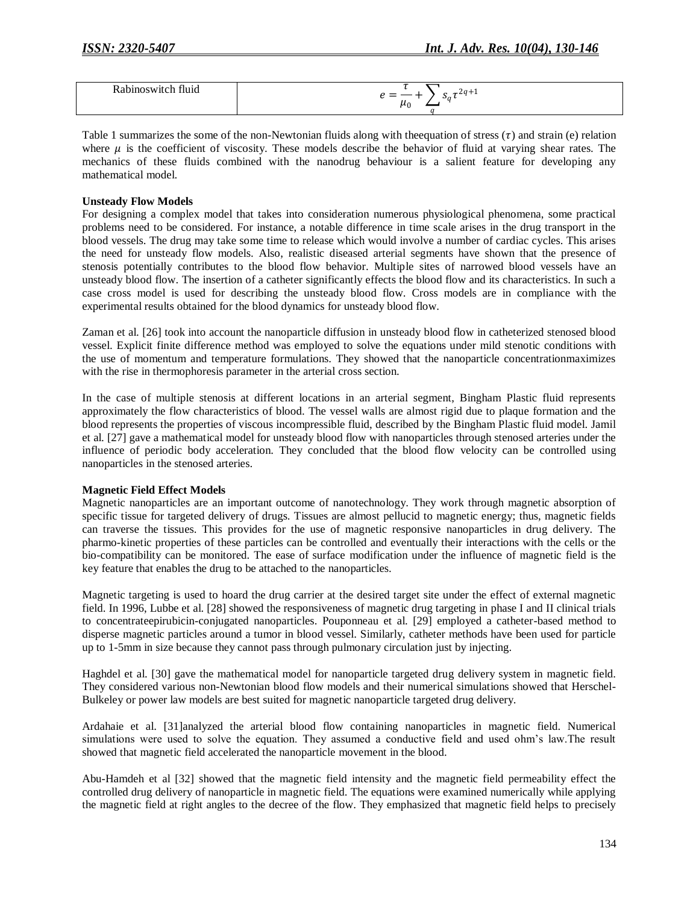| _<br>–<br>്ര<br>,,,<br>∼∙เ∍ |
|-----------------------------|
|                             |

Table 1 summarizes the some of the non-Newtonian fluids along with the equation of stress  $(\tau)$  and strain (e) relation where  $\mu$  is the coefficient of viscosity. These models describe the behavior of fluid at varying shear rates. The mechanics of these fluids combined with the nanodrug behaviour is a salient feature for developing any mathematical model.

#### **Unsteady Flow Models**

For designing a complex model that takes into consideration numerous physiological phenomena, some practical problems need to be considered. For instance, a notable difference in time scale arises in the drug transport in the blood vessels. The drug may take some time to release which would involve a number of cardiac cycles. This arises the need for unsteady flow models. Also, realistic diseased arterial segments have shown that the presence of stenosis potentially contributes to the blood flow behavior. Multiple sites of narrowed blood vessels have an unsteady blood flow. The insertion of a catheter significantly effects the blood flow and its characteristics. In such a case cross model is used for describing the unsteady blood flow. Cross models are in compliance with the experimental results obtained for the blood dynamics for unsteady blood flow.

Zaman et al. [26] took into account the nanoparticle diffusion in unsteady blood flow in catheterized stenosed blood vessel. Explicit finite difference method was employed to solve the equations under mild stenotic conditions with the use of momentum and temperature formulations. They showed that the nanoparticle concentrationmaximizes with the rise in thermophoresis parameter in the arterial cross section.

In the case of multiple stenosis at different locations in an arterial segment, Bingham Plastic fluid represents approximately the flow characteristics of blood. The vessel walls are almost rigid due to plaque formation and the blood represents the properties of viscous incompressible fluid, described by the Bingham Plastic fluid model. Jamil et al. [27] gave a mathematical model for unsteady blood flow with nanoparticles through stenosed arteries under the influence of periodic body acceleration. They concluded that the blood flow velocity can be controlled using nanoparticles in the stenosed arteries.

# **Magnetic Field Effect Models**

Magnetic nanoparticles are an important outcome of nanotechnology. They work through magnetic absorption of specific tissue for targeted delivery of drugs. Tissues are almost pellucid to magnetic energy; thus, magnetic fields can traverse the tissues. This provides for the use of magnetic responsive nanoparticles in drug delivery. The pharmo-kinetic properties of these particles can be controlled and eventually their interactions with the cells or the bio-compatibility can be monitored. The ease of surface modification under the influence of magnetic field is the key feature that enables the drug to be attached to the nanoparticles.

Magnetic targeting is used to hoard the drug carrier at the desired target site under the effect of external magnetic field. In 1996, Lubbe et al. [28] showed the responsiveness of magnetic drug targeting in phase I and II clinical trials to concentrateepirubicin-conjugated nanoparticles. Pouponneau et al. [29] employed a catheter-based method to disperse magnetic particles around a tumor in blood vessel. Similarly, catheter methods have been used for particle up to 1-5mm in size because they cannot pass through pulmonary circulation just by injecting.

Haghdel et al. [30] gave the mathematical model for nanoparticle targeted drug delivery system in magnetic field. They considered various non-Newtonian blood flow models and their numerical simulations showed that Herschel-Bulkeley or power law models are best suited for magnetic nanoparticle targeted drug delivery.

Ardahaie et al. [31]analyzed the arterial blood flow containing nanoparticles in magnetic field. Numerical simulations were used to solve the equation. They assumed a conductive field and used ohm's law.The result showed that magnetic field accelerated the nanoparticle movement in the blood.

Abu-Hamdeh et al [32] showed that the magnetic field intensity and the magnetic field permeability effect the controlled drug delivery of nanoparticle in magnetic field. The equations were examined numerically while applying the magnetic field at right angles to the decree of the flow. They emphasized that magnetic field helps to precisely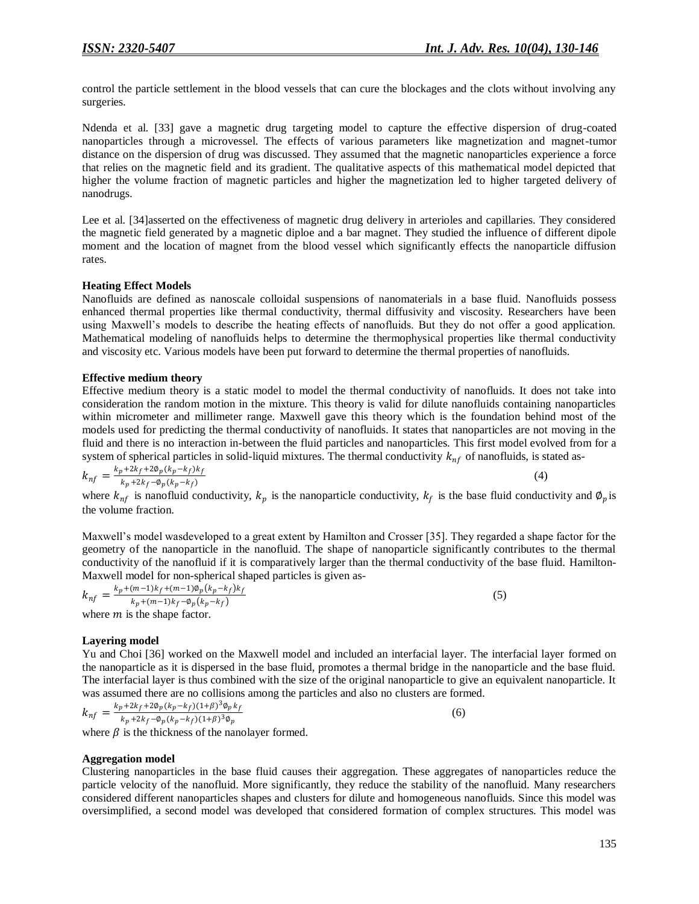(4)

control the particle settlement in the blood vessels that can cure the blockages and the clots without involving any surgeries.

Ndenda et al. [33] gave a magnetic drug targeting model to capture the effective dispersion of drug-coated nanoparticles through a microvessel. The effects of various parameters like magnetization and magnet-tumor distance on the dispersion of drug was discussed. They assumed that the magnetic nanoparticles experience a force that relies on the magnetic field and its gradient. The qualitative aspects of this mathematical model depicted that higher the volume fraction of magnetic particles and higher the magnetization led to higher targeted delivery of nanodrugs.

Lee et al. [34]asserted on the effectiveness of magnetic drug delivery in arterioles and capillaries. They considered the magnetic field generated by a magnetic diploe and a bar magnet. They studied the influence of different dipole moment and the location of magnet from the blood vessel which significantly effects the nanoparticle diffusion rates.

# **Heating Effect Models**

Nanofluids are defined as nanoscale colloidal suspensions of nanomaterials in a base fluid. Nanofluids possess enhanced thermal properties like thermal conductivity, thermal diffusivity and viscosity. Researchers have been using Maxwell's models to describe the heating effects of nanofluids. But they do not offer a good application. Mathematical modeling of nanofluids helps to determine the thermophysical properties like thermal conductivity and viscosity etc. Various models have been put forward to determine the thermal properties of nanofluids.

#### **Effective medium theory**

Effective medium theory is a static model to model the thermal conductivity of nanofluids. It does not take into consideration the random motion in the mixture. This theory is valid for dilute nanofluids containing nanoparticles within micrometer and millimeter range. Maxwell gave this theory which is the foundation behind most of the models used for predicting the thermal conductivity of nanofluids. It states that nanoparticles are not moving in the fluid and there is no interaction in-between the fluid particles and nanoparticles. This first model evolved from for a system of spherical particles in solid-liquid mixtures. The thermal conductivity  $k_{nf}$  of nanofluids, is stated as-

$$
k_{nf} = \frac{k_p + 2k_f + 2\phi_p (k_p - k_f)k_f}{k_p + 2k_f - \phi_p (k_p - k_f)}
$$

where  $k_{nf}$  is nanofluid conductivity,  $k_p$  is the nanoparticle conductivity,  $k_f$  is the base fluid conductivity and  $\varphi_p$  is the volume fraction.

Maxwell's model wasdeveloped to a great extent by Hamilton and Crosser [35]. They regarded a shape factor for the geometry of the nanoparticle in the nanofluid. The shape of nanoparticle significantly contributes to the thermal conductivity of the nanofluid if it is comparatively larger than the thermal conductivity of the base fluid. Hamilton-Maxwell model for non-spherical shaped particles is given as-

$$
k_{nf} = \frac{k_p + (m-1)k_f + (m-1)\phi_p(k_p - k_f)k_f}{k_p + (m-1)k_f - \phi_p(k_p - k_f)}
$$
(5)  
where *m* is the shape factor.

# **Layering model**

Yu and Choi [36] worked on the Maxwell model and included an interfacial layer. The interfacial layer formed on the nanoparticle as it is dispersed in the base fluid, promotes a thermal bridge in the nanoparticle and the base fluid. The interfacial layer is thus combined with the size of the original nanoparticle to give an equivalent nanoparticle. It was assumed there are no collisions among the particles and also no clusters are formed.

$$
k_{nf} = \frac{k_p + 2k_f + 2\phi_p (k_p - k_f)(1+\beta)^3 \phi_p k_f}{k_p + 2k_f - \phi_p (k_p - k_f)(1+\beta)^3 \phi_p}
$$

(6)

where  $\beta$  is the thickness of the nanolayer formed.

#### **Aggregation model**

Clustering nanoparticles in the base fluid causes their aggregation. These aggregates of nanoparticles reduce the particle velocity of the nanofluid. More significantly, they reduce the stability of the nanofluid. Many researchers considered different nanoparticles shapes and clusters for dilute and homogeneous nanofluids. Since this model was oversimplified, a second model was developed that considered formation of complex structures. This model was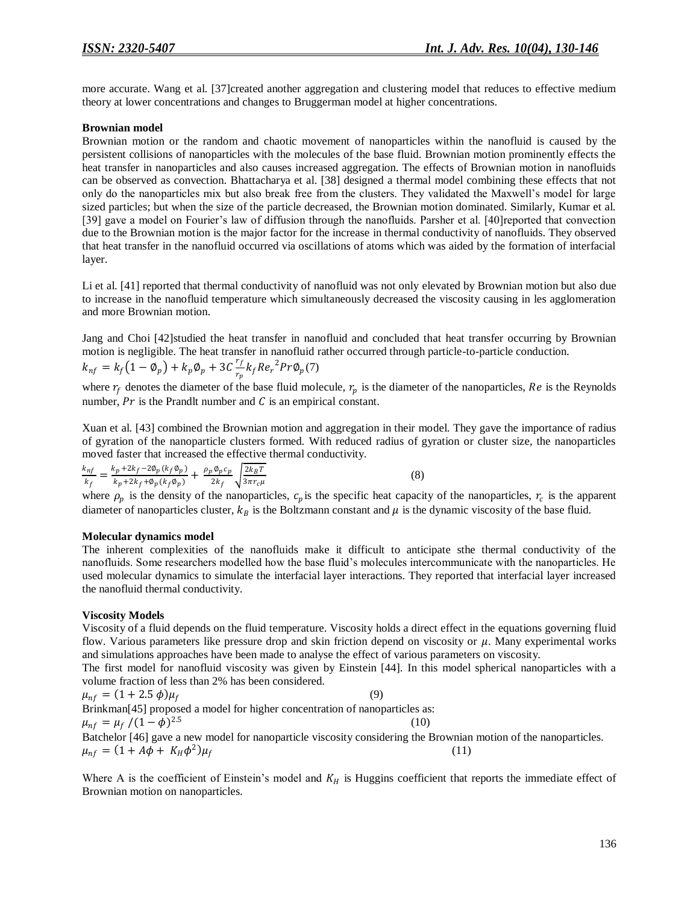more accurate. Wang et al. [37]created another aggregation and clustering model that reduces to effective medium theory at lower concentrations and changes to Bruggerman model at higher concentrations.

#### **Brownian model**

Brownian motion or the random and chaotic movement of nanoparticles within the nanofluid is caused by the persistent collisions of nanoparticles with the molecules of the base fluid. Brownian motion prominently effects the heat transfer in nanoparticles and also causes increased aggregation. The effects of Brownian motion in nanofluids can be observed as convection. Bhattacharya et al. [38] designed a thermal model combining these effects that not only do the nanoparticles mix but also break free from the clusters. They validated the Maxwell's model for large sized particles; but when the size of the particle decreased, the Brownian motion dominated. Similarly, Kumar et al. [39] gave a model on Fourier's law of diffusion through the nanofluids. Parsher et al. [40]reported that convection due to the Brownian motion is the major factor for the increase in thermal conductivity of nanofluids. They observed that heat transfer in the nanofluid occurred via oscillations of atoms which was aided by the formation of interfacial layer.

Li et al. [41] reported that thermal conductivity of nanofluid was not only elevated by Brownian motion but also due to increase in the nanofluid temperature which simultaneously decreased the viscosity causing in les agglomeration and more Brownian motion.

Jang and Choi [42]studied the heat transfer in nanofluid and concluded that heat transfer occurring by Brownian motion is negligible. The heat transfer in nanofluid rather occurred through particle-to-particle conduction.  $k_{nf} = k_f (1 - \emptyset_p) + k_p \emptyset_p + 3C \frac{r_f}{r}$  $\frac{r_f}{r_p} k_f Re_r^{\;2} Pr \not \! \! \varphi_p(7)$ 

where  $r_f$  denotes the diameter of the base fluid molecule,  $r_p$  is the diameter of the nanoparticles, Re is the Reynolds number,  $Pr$  is the Prandlt number and  $C$  is an empirical constant.

Xuan et al. [43] combined the Brownian motion and aggregation in their model. They gave the importance of radius of gyration of the nanoparticle clusters formed. With reduced radius of gyration or cluster size, the nanoparticles moved faster that increased the effective thermal conductivity.

$$
\frac{k_{nf}}{k_f} = \frac{k_p + 2k_f - 2\Phi_p(k_f\Phi_p)}{k_p + 2k_f + \Phi_p(k_f\Phi_p)} + \frac{\rho_p\Phi_p c_p}{2k_f} \sqrt{\frac{2k_B T}{3\pi r_c \mu}}
$$
\n
$$
\tag{8}
$$

where  $\rho_p$  is the density of the nanoparticles,  $c_p$  is the specific heat capacity of the nanoparticles,  $r_c$  is the apparent diameter of nanoparticles cluster,  $k_B$  is the Boltzmann constant and  $\mu$  is the dynamic viscosity of the base fluid.

#### **Molecular dynamics model**

The inherent complexities of the nanofluids make it difficult to anticipate sthe thermal conductivity of the nanofluids. Some researchers modelled how the base fluid's molecules intercommunicate with the nanoparticles. He used molecular dynamics to simulate the interfacial layer interactions. They reported that interfacial layer increased the nanofluid thermal conductivity.

# **Viscosity Models**

Viscosity of a fluid depends on the fluid temperature. Viscosity holds a direct effect in the equations governing fluid flow. Various parameters like pressure drop and skin friction depend on viscosity or  $\mu$ . Many experimental works and simulations approaches have been made to analyse the effect of various parameters on viscosity.

The first model for nanofluid viscosity was given by Einstein [44]. In this model spherical nanoparticles with a volume fraction of less than 2% has been considered.

$$
\mu_{nf} = (1 + 2.5 \phi)\mu_f
$$
\n
$$
\mu_{nf} = \mu_f / (1 - \phi)^{2.5}
$$
\n
$$
\mu_{nf} = \mu_f / (1 - \phi)^{2.5}
$$
\n
$$
\mu_{nf} = (1 + A\phi + K_H\phi^2)\mu_f
$$
\n
$$
\mu_{nf} = (1 + A\phi + K_H\phi^2)\mu_f
$$
\n(10)

Where A is the coefficient of Einstein's model and  $K_H$  is Huggins coefficient that reports the immediate effect of Brownian motion on nanoparticles.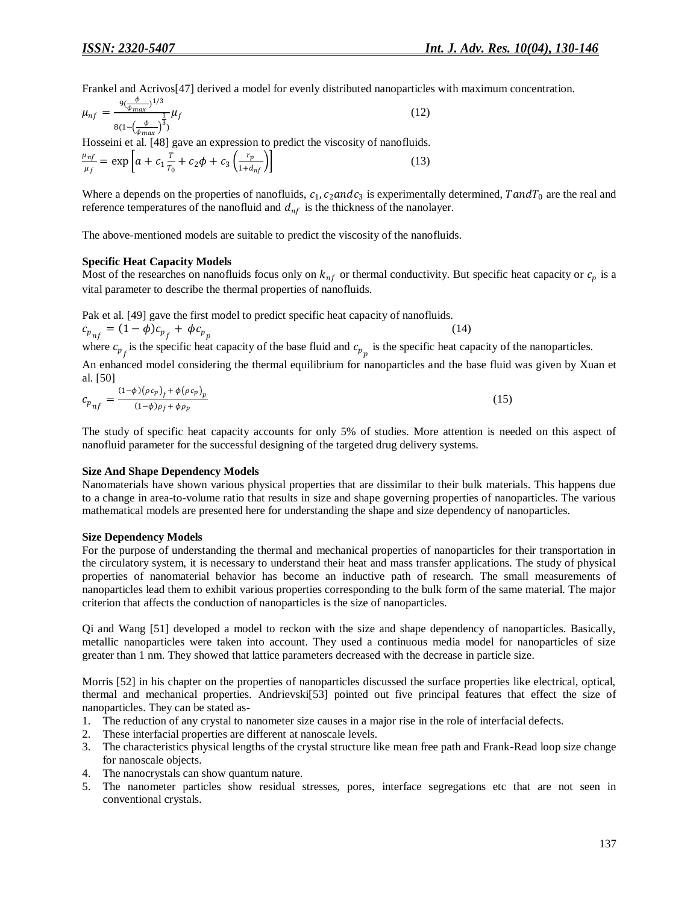Frankel and Acrivos[47] derived a model for evenly distributed nanoparticles with maximum concentration.

$$
\mu_{nf} = \frac{9(\frac{\phi}{\phi_{max}})^{1/3}}{8(1 - (\frac{\phi}{\phi_{max}})^3)} \mu_f
$$
\n(12)

Hosseini et al. [48] gave an expression to predict the viscosity of nanofluids.

$$
\frac{\mu_{nf}}{\mu_f} = \exp\left[a + c_1 \frac{T}{T_0} + c_2 \phi + c_3 \left(\frac{r_p}{1 + d_{nf}}\right)\right]
$$
(13)

Where a depends on the properties of nanofluids,  $c_1$ ,  $c_2$  and  $c_3$  is experimentally determined,  $T$  and  $T_0$  are the real and reference temperatures of the nanofluid and  $d_{nf}$  is the thickness of the nanolayer.

The above-mentioned models are suitable to predict the viscosity of the nanofluids.

#### **Specific Heat Capacity Models**

Most of the researches on nanofluids focus only on  $k_{nf}$  or thermal conductivity. But specific heat capacity or  $c_p$  is a vital parameter to describe the thermal properties of nanofluids.

Pak et al. [49] gave the first model to predict specific heat capacity of nanofluids.

$$
c_{p_{nf}} = (1 - \phi)c_{p_f} + \phi c_{p_p}
$$
 (14)

where  $c_{p_f}$  is the specific heat capacity of the base fluid and  $c_{p_p}$  is the specific heat capacity of the nanoparticles. An enhanced model considering the thermal equilibrium for nanoparticles and the base fluid was given by Xuan et al. [50]

$$
c_{p_{nf}} = \frac{(1-\phi)(\rho c_p)_f + \phi(\rho c_p)_p}{(1-\phi)\rho_f + \phi \rho_p} \tag{15}
$$

The study of specific heat capacity accounts for only 5% of studies. More attention is needed on this aspect of nanofluid parameter for the successful designing of the targeted drug delivery systems.

#### **Size And Shape Dependency Models**

Nanomaterials have shown various physical properties that are dissimilar to their bulk materials. This happens due to a change in area-to-volume ratio that results in size and shape governing properties of nanoparticles. The various mathematical models are presented here for understanding the shape and size dependency of nanoparticles.

#### **Size Dependency Models**

For the purpose of understanding the thermal and mechanical properties of nanoparticles for their transportation in the circulatory system, it is necessary to understand their heat and mass transfer applications. The study of physical properties of nanomaterial behavior has become an inductive path of research. The small measurements of nanoparticles lead them to exhibit various properties corresponding to the bulk form of the same material. The major criterion that affects the conduction of nanoparticles is the size of nanoparticles.

Qi and Wang [51] developed a model to reckon with the size and shape dependency of nanoparticles. Basically, metallic nanoparticles were taken into account. They used a continuous media model for nanoparticles of size greater than 1 nm. They showed that lattice parameters decreased with the decrease in particle size.

Morris [52] in his chapter on the properties of nanoparticles discussed the surface properties like electrical, optical, thermal and mechanical properties. Andrievski[53] pointed out five principal features that effect the size of nanoparticles. They can be stated as-

- 1. The reduction of any crystal to nanometer size causes in a major rise in the role of interfacial defects.
- 2. These interfacial properties are different at nanoscale levels.
- 3. The characteristics physical lengths of the crystal structure like mean free path and Frank-Read loop size change for nanoscale objects.
- 4. The nanocrystals can show quantum nature.
- 5. The nanometer particles show residual stresses, pores, interface segregations etc that are not seen in conventional crystals.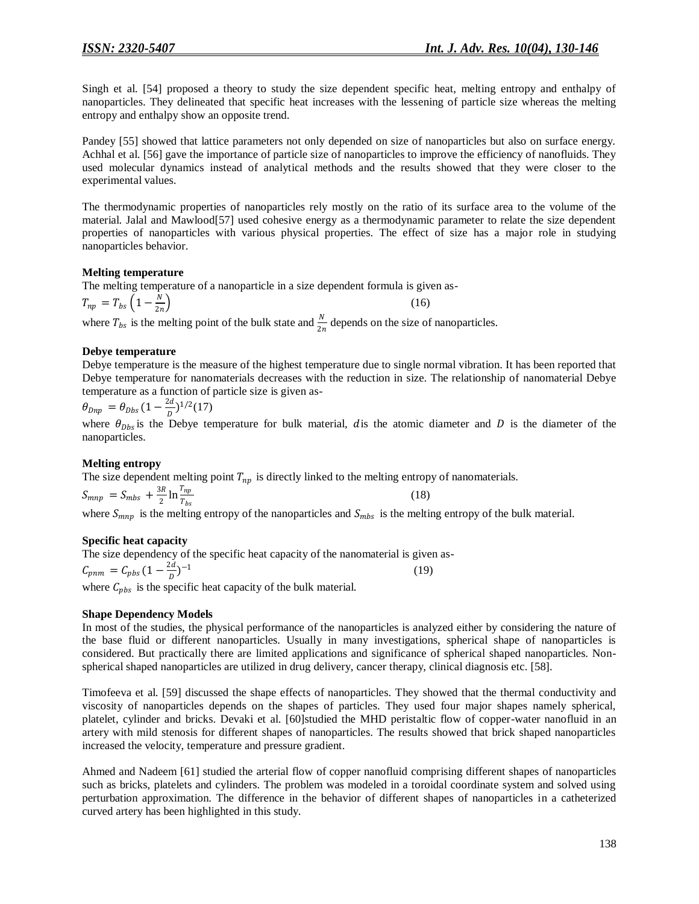Singh et al. [54] proposed a theory to study the size dependent specific heat, melting entropy and enthalpy of nanoparticles. They delineated that specific heat increases with the lessening of particle size whereas the melting entropy and enthalpy show an opposite trend.

Pandey [55] showed that lattice parameters not only depended on size of nanoparticles but also on surface energy. Achhal et al. [56] gave the importance of particle size of nanoparticles to improve the efficiency of nanofluids. They used molecular dynamics instead of analytical methods and the results showed that they were closer to the experimental values.

The thermodynamic properties of nanoparticles rely mostly on the ratio of its surface area to the volume of the material. Jalal and Mawlood[57] used cohesive energy as a thermodynamic parameter to relate the size dependent properties of nanoparticles with various physical properties. The effect of size has a major role in studying nanoparticles behavior.

# **Melting temperature**

The melting temperature of a nanoparticle in a size dependent formula is given as-

$$
T_{np} = T_{bs} \left( 1 - \frac{N}{2n} \right)
$$
 (16)

where  $T_{bs}$  is the melting point of the bulk state and  $\frac{N}{2n}$  depends on the size of nanoparticles.

# **Debye temperature**

Debye temperature is the measure of the highest temperature due to single normal vibration. It has been reported that Debye temperature for nanomaterials decreases with the reduction in size. The relationship of nanomaterial Debye temperature as a function of particle size is given as-

$$
\theta_{Dnp} = \theta_{Dbs} (1 - \frac{2d}{D})^{1/2} (17)
$$

where  $\theta_{Dbs}$  is the Debye temperature for bulk material, dis the atomic diameter and D is the diameter of the nanoparticles.

# **Melting entropy**

The size dependent melting point  $T_{np}$  is directly linked to the melting entropy of nanomaterials.

$$
S_{mnp} = S_{mbs} + \frac{3R}{2} \ln \frac{T_{np}}{T_{bs}}
$$
\n(18)

where  $S_{mnp}$  is the melting entropy of the nanoparticles and  $S_{mbs}$  is the melting entropy of the bulk material.

# **Specific heat capacity**

The size dependency of the specific heat capacity of the nanomaterial is given as-  $C_{pnm} = C_{pbs} (1 - \frac{2d}{R})$  $\frac{2a}{D}$ )<sup>-1</sup> (19)

where  $C_{pbs}$  is the specific heat capacity of the bulk material.

# **Shape Dependency Models**

In most of the studies, the physical performance of the nanoparticles is analyzed either by considering the nature of the base fluid or different nanoparticles. Usually in many investigations, spherical shape of nanoparticles is considered. But practically there are limited applications and significance of spherical shaped nanoparticles. Nonspherical shaped nanoparticles are utilized in drug delivery, cancer therapy, clinical diagnosis etc. [58].

Timofeeva et al. [59] discussed the shape effects of nanoparticles. They showed that the thermal conductivity and viscosity of nanoparticles depends on the shapes of particles. They used four major shapes namely spherical, platelet, cylinder and bricks. Devaki et al. [60]studied the MHD peristaltic flow of copper-water nanofluid in an artery with mild stenosis for different shapes of nanoparticles. The results showed that brick shaped nanoparticles increased the velocity, temperature and pressure gradient.

Ahmed and Nadeem [61] studied the arterial flow of copper nanofluid comprising different shapes of nanoparticles such as bricks, platelets and cylinders. The problem was modeled in a toroidal coordinate system and solved using perturbation approximation. The difference in the behavior of different shapes of nanoparticles in a catheterized curved artery has been highlighted in this study.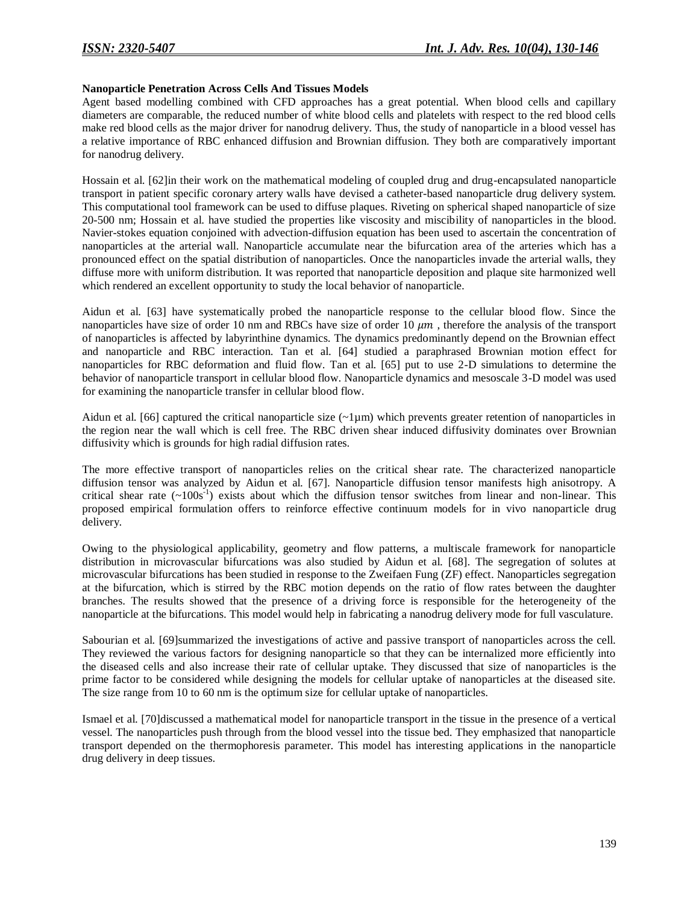#### **Nanoparticle Penetration Across Cells And Tissues Models**

Agent based modelling combined with CFD approaches has a great potential. When blood cells and capillary diameters are comparable, the reduced number of white blood cells and platelets with respect to the red blood cells make red blood cells as the major driver for nanodrug delivery. Thus, the study of nanoparticle in a blood vessel has a relative importance of RBC enhanced diffusion and Brownian diffusion. They both are comparatively important for nanodrug delivery.

Hossain et al. [62]in their work on the mathematical modeling of coupled drug and drug-encapsulated nanoparticle transport in patient specific coronary artery walls have devised a catheter-based nanoparticle drug delivery system. This computational tool framework can be used to diffuse plaques. Riveting on spherical shaped nanoparticle of size 20-500 nm; Hossain et al. have studied the properties like viscosity and miscibility of nanoparticles in the blood. Navier-stokes equation conjoined with advection-diffusion equation has been used to ascertain the concentration of nanoparticles at the arterial wall. Nanoparticle accumulate near the bifurcation area of the arteries which has a pronounced effect on the spatial distribution of nanoparticles. Once the nanoparticles invade the arterial walls, they diffuse more with uniform distribution. It was reported that nanoparticle deposition and plaque site harmonized well which rendered an excellent opportunity to study the local behavior of nanoparticle.

Aidun et al. [63] have systematically probed the nanoparticle response to the cellular blood flow. Since the nanoparticles have size of order 10 nm and RBCs have size of order 10  $\mu$ m, therefore the analysis of the transport of nanoparticles is affected by labyrinthine dynamics. The dynamics predominantly depend on the Brownian effect and nanoparticle and RBC interaction. Tan et al. [64] studied a paraphrased Brownian motion effect for nanoparticles for RBC deformation and fluid flow. Tan et al. [65] put to use 2-D simulations to determine the behavior of nanoparticle transport in cellular blood flow. Nanoparticle dynamics and mesoscale 3-D model was used for examining the nanoparticle transfer in cellular blood flow.

Aidun et al. [66] captured the critical nanoparticle size  $(-1\mu m)$  which prevents greater retention of nanoparticles in the region near the wall which is cell free. The RBC driven shear induced diffusivity dominates over Brownian diffusivity which is grounds for high radial diffusion rates.

The more effective transport of nanoparticles relies on the critical shear rate. The characterized nanoparticle diffusion tensor was analyzed by Aidun et al. [67]. Nanoparticle diffusion tensor manifests high anisotropy. A critical shear rate  $(-100s^{-1})$  exists about which the diffusion tensor switches from linear and non-linear. This proposed empirical formulation offers to reinforce effective continuum models for in vivo nanoparticle drug delivery.

Owing to the physiological applicability, geometry and flow patterns, a multiscale framework for nanoparticle distribution in microvascular bifurcations was also studied by Aidun et al. [68]. The segregation of solutes at microvascular bifurcations has been studied in response to the Zweifaen Fung (ZF) effect. Nanoparticles segregation at the bifurcation, which is stirred by the RBC motion depends on the ratio of flow rates between the daughter branches. The results showed that the presence of a driving force is responsible for the heterogeneity of the nanoparticle at the bifurcations. This model would help in fabricating a nanodrug delivery mode for full vasculature.

Sabourian et al. [69]summarized the investigations of active and passive transport of nanoparticles across the cell. They reviewed the various factors for designing nanoparticle so that they can be internalized more efficiently into the diseased cells and also increase their rate of cellular uptake. They discussed that size of nanoparticles is the prime factor to be considered while designing the models for cellular uptake of nanoparticles at the diseased site. The size range from 10 to 60 nm is the optimum size for cellular uptake of nanoparticles.

Ismael et al. [70]discussed a mathematical model for nanoparticle transport in the tissue in the presence of a vertical vessel. The nanoparticles push through from the blood vessel into the tissue bed. They emphasized that nanoparticle transport depended on the thermophoresis parameter. This model has interesting applications in the nanoparticle drug delivery in deep tissues.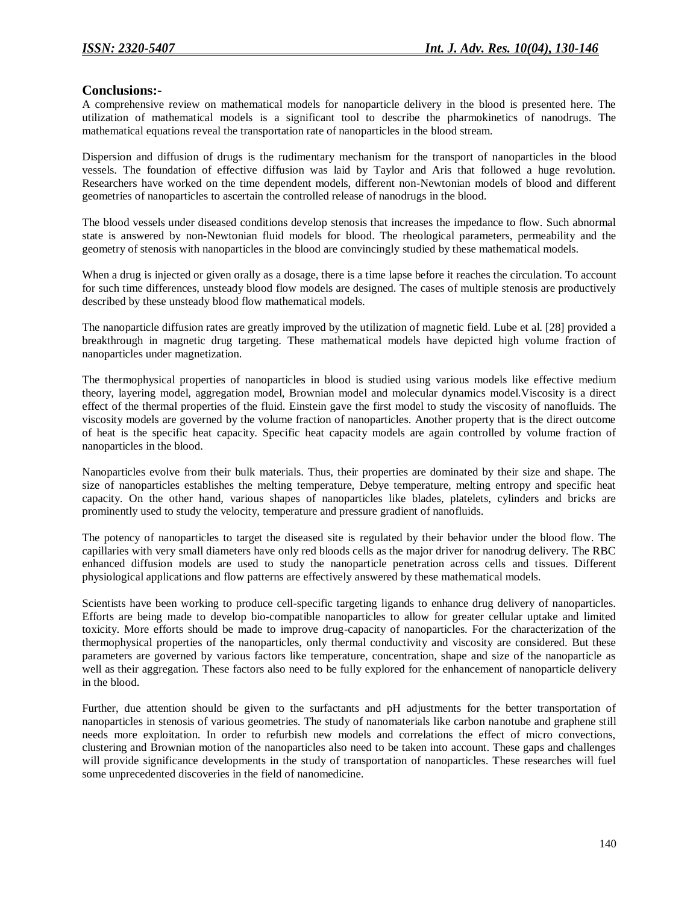# **Conclusions:-**

A comprehensive review on mathematical models for nanoparticle delivery in the blood is presented here. The utilization of mathematical models is a significant tool to describe the pharmokinetics of nanodrugs. The mathematical equations reveal the transportation rate of nanoparticles in the blood stream.

Dispersion and diffusion of drugs is the rudimentary mechanism for the transport of nanoparticles in the blood vessels. The foundation of effective diffusion was laid by Taylor and Aris that followed a huge revolution. Researchers have worked on the time dependent models, different non-Newtonian models of blood and different geometries of nanoparticles to ascertain the controlled release of nanodrugs in the blood.

The blood vessels under diseased conditions develop stenosis that increases the impedance to flow. Such abnormal state is answered by non-Newtonian fluid models for blood. The rheological parameters, permeability and the geometry of stenosis with nanoparticles in the blood are convincingly studied by these mathematical models.

When a drug is injected or given orally as a dosage, there is a time lapse before it reaches the circulation. To account for such time differences, unsteady blood flow models are designed. The cases of multiple stenosis are productively described by these unsteady blood flow mathematical models.

The nanoparticle diffusion rates are greatly improved by the utilization of magnetic field. Lube et al. [28] provided a breakthrough in magnetic drug targeting. These mathematical models have depicted high volume fraction of nanoparticles under magnetization.

The thermophysical properties of nanoparticles in blood is studied using various models like effective medium theory, layering model, aggregation model, Brownian model and molecular dynamics model.Viscosity is a direct effect of the thermal properties of the fluid. Einstein gave the first model to study the viscosity of nanofluids. The viscosity models are governed by the volume fraction of nanoparticles. Another property that is the direct outcome of heat is the specific heat capacity. Specific heat capacity models are again controlled by volume fraction of nanoparticles in the blood.

Nanoparticles evolve from their bulk materials. Thus, their properties are dominated by their size and shape. The size of nanoparticles establishes the melting temperature, Debye temperature, melting entropy and specific heat capacity. On the other hand, various shapes of nanoparticles like blades, platelets, cylinders and bricks are prominently used to study the velocity, temperature and pressure gradient of nanofluids.

The potency of nanoparticles to target the diseased site is regulated by their behavior under the blood flow. The capillaries with very small diameters have only red bloods cells as the major driver for nanodrug delivery. The RBC enhanced diffusion models are used to study the nanoparticle penetration across cells and tissues. Different physiological applications and flow patterns are effectively answered by these mathematical models.

Scientists have been working to produce cell-specific targeting ligands to enhance drug delivery of nanoparticles. Efforts are being made to develop bio-compatible nanoparticles to allow for greater cellular uptake and limited toxicity. More efforts should be made to improve drug-capacity of nanoparticles. For the characterization of the thermophysical properties of the nanoparticles, only thermal conductivity and viscosity are considered. But these parameters are governed by various factors like temperature, concentration, shape and size of the nanoparticle as well as their aggregation. These factors also need to be fully explored for the enhancement of nanoparticle delivery in the blood.

Further, due attention should be given to the surfactants and pH adjustments for the better transportation of nanoparticles in stenosis of various geometries. The study of nanomaterials like carbon nanotube and graphene still needs more exploitation. In order to refurbish new models and correlations the effect of micro convections, clustering and Brownian motion of the nanoparticles also need to be taken into account. These gaps and challenges will provide significance developments in the study of transportation of nanoparticles. These researches will fuel some unprecedented discoveries in the field of nanomedicine.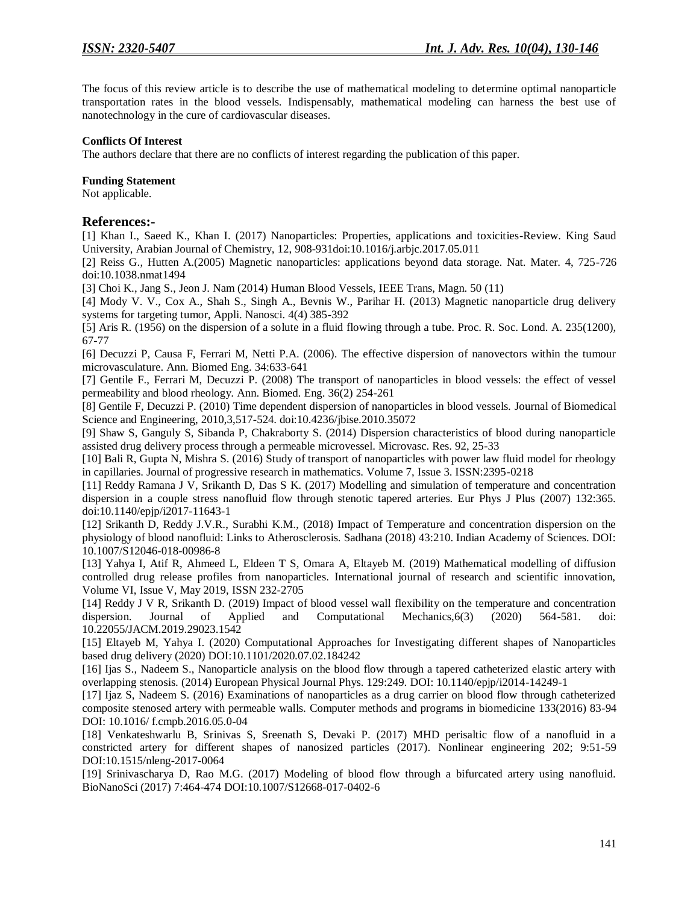The focus of this review article is to describe the use of mathematical modeling to determine optimal nanoparticle transportation rates in the blood vessels. Indispensably, mathematical modeling can harness the best use of nanotechnology in the cure of cardiovascular diseases.

#### **Conflicts Of Interest**

The authors declare that there are no conflicts of interest regarding the publication of this paper.

#### **Funding Statement**

Not applicable.

# **References:-**

[1] Khan I., Saeed K., Khan I. (2017) Nanoparticles: Properties, applications and toxicities-Review. King Saud University, Arabian Journal of Chemistry, 12, 908-931doi:10.1016/j.arbjc.2017.05.011

[2] Reiss G., Hutten A.(2005) Magnetic nanoparticles: applications beyond data storage. Nat. Mater. 4, 725-726 doi:10.1038.nmat1494

[3] Choi K., Jang S., Jeon J. Nam (2014) Human Blood Vessels, IEEE Trans, Magn. 50 (11)

[4] Mody V. V., Cox A., Shah S., Singh A., Bevnis W., Parihar H. (2013) Magnetic nanoparticle drug delivery systems for targeting tumor, Appli. Nanosci. 4(4) 385-392

[5] Aris R. (1956) on the dispersion of a solute in a fluid flowing through a tube. Proc. R. Soc. Lond. A. 235(1200), 67-77

[6] Decuzzi P, Causa F, Ferrari M, Netti P.A. (2006). The effective dispersion of nanovectors within the tumour microvasculature. Ann. Biomed Eng. 34:633-641

[7] Gentile F., Ferrari M, Decuzzi P. (2008) The transport of nanoparticles in blood vessels: the effect of vessel permeability and blood rheology. Ann. Biomed. Eng. 36(2) 254-261

[8] Gentile F, Decuzzi P. (2010) Time dependent dispersion of nanoparticles in blood vessels. Journal of Biomedical Science and Engineering, 2010,3,517-524. doi:10.4236/jbise.2010.35072

[9] Shaw S, Ganguly S, Sibanda P, Chakraborty S. (2014) Dispersion characteristics of blood during nanoparticle assisted drug delivery process through a permeable microvessel. Microvasc. Res. 92, 25-33

[10] Bali R, Gupta N, Mishra S. (2016) Study of transport of nanoparticles with power law fluid model for rheology in capillaries. Journal of progressive research in mathematics. Volume 7, Issue 3. ISSN:2395-0218

[11] Reddy Ramana J V, Srikanth D, Das S K. (2017) Modelling and simulation of temperature and concentration dispersion in a couple stress nanofluid flow through stenotic tapered arteries. Eur Phys J Plus (2007) 132:365. doi:10.1140/epjp/i2017-11643-1

[12] Srikanth D, Reddy J.V.R., Surabhi K.M., (2018) Impact of Temperature and concentration dispersion on the physiology of blood nanofluid: Links to Atherosclerosis. Sadhana (2018) 43:210. Indian Academy of Sciences. DOI: 10.1007/S12046-018-00986-8

[13] Yahya I, Atif R, Ahmeed L, Eldeen T S, Omara A, Eltayeb M. (2019) Mathematical modelling of diffusion controlled drug release profiles from nanoparticles. International journal of research and scientific innovation, Volume VI, Issue V, May 2019, ISSN 232-2705

[14] Reddy J V R, Srikanth D. (2019) Impact of blood vessel wall flexibility on the temperature and concentration dispersion. Journal of Applied and Computational Mechanics, 6(3) (2020) 564-581. doi: dispersion. Journal of Applied and Computational Mechanics,6(3) (2020) 564-581. doi: 10.22055/JACM.2019.29023.1542

[15] Eltayeb M, Yahya I. (2020) Computational Approaches for Investigating different shapes of Nanoparticles based drug delivery (2020) DOI:10.1101/2020.07.02.184242

[16] Ijas S., Nadeem S., Nanoparticle analysis on the blood flow through a tapered catheterized elastic artery with overlapping stenosis. (2014) European Physical Journal Phys. 129:249. DOI: 10.1140/epjp/i2014-14249-1

[17] Ijaz S, Nadeem S. (2016) Examinations of nanoparticles as a drug carrier on blood flow through catheterized composite stenosed artery with permeable walls. Computer methods and programs in biomedicine 133(2016) 83-94 DOI: 10.1016/ f.cmpb.2016.05.0-04

[18] Venkateshwarlu B, Srinivas S, Sreenath S, Devaki P. (2017) MHD perisaltic flow of a nanofluid in a constricted artery for different shapes of nanosized particles (2017). Nonlinear engineering 202; 9:51-59 DOI:10.1515/nleng-2017-0064

[19] Srinivascharya D, Rao M.G. (2017) Modeling of blood flow through a bifurcated artery using nanofluid. BioNanoSci (2017) 7:464-474 DOI:10.1007/S12668-017-0402-6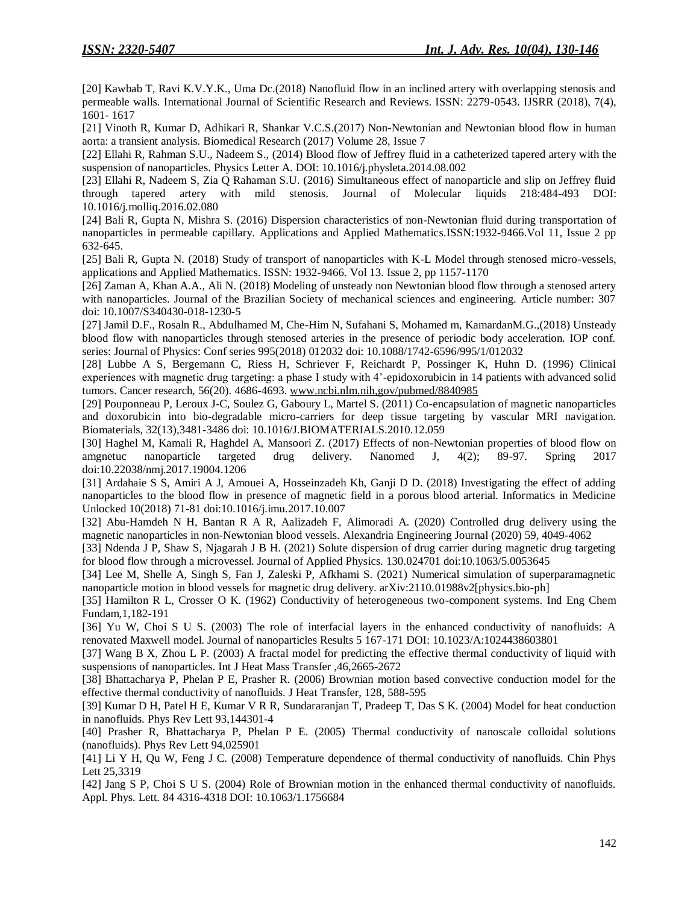[20] Kawbab T, Ravi K.V.Y.K., Uma Dc.(2018) Nanofluid flow in an inclined artery with overlapping stenosis and permeable walls. International Journal of Scientific Research and Reviews. ISSN: 2279-0543. IJSRR (2018), 7(4), 1601- 1617

[21] Vinoth R, Kumar D, Adhikari R, Shankar V.C.S.(2017) Non-Newtonian and Newtonian blood flow in human aorta: a transient analysis. Biomedical Research (2017) Volume 28, Issue 7

[22] Ellahi R, Rahman S.U., Nadeem S., (2014) Blood flow of Jeffrey fluid in a catheterized tapered artery with the suspension of nanoparticles. Physics Letter A. DOI: 10.1016/j.physleta.2014.08.002

[23] Ellahi R, Nadeem S, Zia Q Rahaman S.U. (2016) Simultaneous effect of nanoparticle and slip on Jeffrey fluid through tapered artery with mild stenosis. Journal of Molecular liquids 218:484-493 DOI: 10.1016/j.molliq.2016.02.080

[24] Bali R, Gupta N, Mishra S. (2016) Dispersion characteristics of non-Newtonian fluid during transportation of nanoparticles in permeable capillary. Applications and Applied Mathematics.ISSN:1932-9466.Vol 11, Issue 2 pp 632-645.

[25] Bali R, Gupta N. (2018) Study of transport of nanoparticles with K-L Model through stenosed micro-vessels, applications and Applied Mathematics. ISSN: 1932-9466. Vol 13. Issue 2, pp 1157-1170

[26] Zaman A, Khan A.A., Ali N. (2018) Modeling of unsteady non Newtonian blood flow through a stenosed artery with nanoparticles. Journal of the Brazilian Society of mechanical sciences and engineering. Article number: 307 doi: 10.1007/S340430-018-1230-5

[27] Jamil D.F., Rosaln R., Abdulhamed M, Che-Him N, Sufahani S, Mohamed m, KamardanM.G.,(2018) Unsteady blood flow with nanoparticles through stenosed arteries in the presence of periodic body acceleration. IOP conf. series: Journal of Physics: Conf series 995(2018) 012032 doi: 10.1088/1742-6596/995/1/012032

[28] Lubbe A S, Bergemann C, Riess H, Schriever F, Reichardt P, Possinger K, Huhn D. (1996) Clinical experiences with magnetic drug targeting: a phase I study with 4'-epidoxorubicin in 14 patients with advanced solid tumors. Cancer research, 56(20). 4686-4693. [www.ncbi.nlm.nih,gov/pubmed/8840985](http://www.ncbi.nlm.nih,gov/pubmed/8840985)

[29] Pouponneau P, Leroux J-C, Soulez G, Gaboury L, Martel S. (2011) Co-encapsulation of magnetic nanoparticles and doxorubicin into bio-degradable micro-carriers for deep tissue targeting by vascular MRI navigation. Biomaterials, 32(13),3481-3486 doi: 10.1016/J.BIOMATERIALS.2010.12.059

[30] Haghel M, Kamali R, Haghdel A, Mansoori Z. (2017) Effects of non-Newtonian properties of blood flow on amgnetuc nanoparticle targeted drug delivery. Nanomed J, 4(2); 89-97. Spring 2017 doi:10.22038/nmj.2017.19004.1206

[31] Ardahaie S S, Amiri A J, Amouei A, Hosseinzadeh Kh, Ganji D D. (2018) Investigating the effect of adding nanoparticles to the blood flow in presence of magnetic field in a porous blood arterial. Informatics in Medicine Unlocked 10(2018) 71-81 doi:10.1016/j.imu.2017.10.007

[32] Abu-Hamdeh N H, Bantan R A R, Aalizadeh F, Alimoradi A. (2020) Controlled drug delivery using the magnetic nanoparticles in non-Newtonian blood vessels. Alexandria Engineering Journal (2020) 59, 4049-4062

[33] Ndenda J P, Shaw S, Njagarah J B H. (2021) Solute dispersion of drug carrier during magnetic drug targeting for blood flow through a microvessel. Journal of Applied Physics. 130.024701 doi:10.1063/5.0053645

[34] Lee M, Shelle A, Singh S, Fan J, Zaleski P, Afkhami S. (2021) Numerical simulation of superparamagnetic nanoparticle motion in blood vessels for magnetic drug delivery. arXiv:2110.01988v2[physics.bio-ph]

[35] Hamilton R L, Crosser O K. (1962) Conductivity of heterogeneous two-component systems. Ind Eng Chem Fundam,1,182-191

[36] Yu W, Choi S U S. (2003) The role of interfacial layers in the enhanced conductivity of nanofluids: A renovated Maxwell model. Journal of nanoparticles Results 5 167-171 DOI: 10.1023/A:1024438603801

[37] Wang B X, Zhou L P. (2003) A fractal model for predicting the effective thermal conductivity of liquid with suspensions of nanoparticles. Int J Heat Mass Transfer ,46,2665-2672

[38] Bhattacharya P, Phelan P E, Prasher R. (2006) Brownian motion based convective conduction model for the effective thermal conductivity of nanofluids. J Heat Transfer, 128, 588-595

[39] Kumar D H, Patel H E, Kumar V R R, Sundararanjan T, Pradeep T, Das S K. (2004) Model for heat conduction in nanofluids. Phys Rev Lett 93,144301-4

[40] Prasher R, Bhattacharya P, Phelan P E. (2005) Thermal conductivity of nanoscale colloidal solutions (nanofluids). Phys Rev Lett 94,025901

[41] Li Y H, Qu W, Feng J C. (2008) Temperature dependence of thermal conductivity of nanofluids. Chin Phys Lett 25,3319

[42] Jang S P, Choi S U S. (2004) Role of Brownian motion in the enhanced thermal conductivity of nanofluids. Appl. Phys. Lett. 84 4316-4318 DOI: 10.1063/1.1756684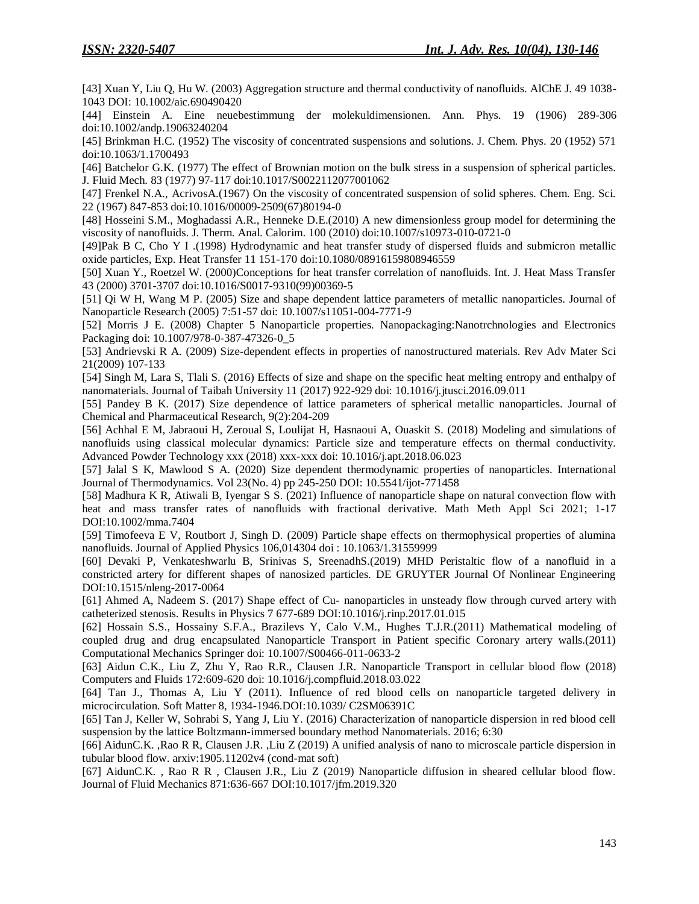[43] Xuan Y, Liu Q, Hu W. (2003) Aggregation structure and thermal conductivity of nanofluids. AlChE J. 49 1038- 1043 DOI: 10.1002/aic.690490420

[44] Einstein A. Eine neuebestimmung der molekuldimensionen. Ann. Phys. 19 (1906) 289-306 doi:10.1002/andp.19063240204

[45] Brinkman H.C. (1952) The viscosity of concentrated suspensions and solutions. J. Chem. Phys. 20 (1952) 571 doi:10.1063/1.1700493

[46] Batchelor G.K. (1977) The effect of Brownian motion on the bulk stress in a suspension of spherical particles. J. Fluid Mech. 83 (1977) 97-117 doi:10.1017/S0022112077001062

[47] Frenkel N.A., AcrivosA.(1967) On the viscosity of concentrated suspension of solid spheres. Chem. Eng. Sci. 22 (1967) 847-853 doi:10.1016/00009-2509(67)80194-0

[48] Hosseini S.M., Moghadassi A.R., Henneke D.E.(2010) A new dimensionless group model for determining the viscosity of nanofluids. J. Therm. Anal. Calorim. 100 (2010) doi:10.1007/s10973-010-0721-0

[49]Pak B C, Cho Y I .(1998) Hydrodynamic and heat transfer study of dispersed fluids and submicron metallic oxide particles, Exp. Heat Transfer 11 151-170 doi:10.1080/08916159808946559

[50] Xuan Y., Roetzel W. (2000)Conceptions for heat transfer correlation of nanofluids. Int. J. Heat Mass Transfer 43 (2000) 3701-3707 doi:10.1016/S0017-9310(99)00369-5

[51] Qi W H, Wang M P. (2005) Size and shape dependent lattice parameters of metallic nanoparticles. Journal of Nanoparticle Research (2005) 7:51-57 doi: 10.1007/s11051-004-7771-9

[52] Morris J E. (2008) Chapter 5 Nanoparticle properties. Nanopackaging:Nanotrchnologies and Electronics Packaging doi: 10.1007/978-0-387-47326-0\_5

[53] Andrievski R A. (2009) Size-dependent effects in properties of nanostructured materials. Rev Adv Mater Sci 21(2009) 107-133

[54] Singh M, Lara S, Tlali S. (2016) Effects of size and shape on the specific heat melting entropy and enthalpy of nanomaterials. Journal of Taibah University 11 (2017) 922-929 doi: 10.1016/j.jtusci.2016.09.011

[55] Pandey B K. (2017) Size dependence of lattice parameters of spherical metallic nanoparticles. Journal of Chemical and Pharmaceutical Research, 9(2):204-209

[56] Achhal E M, Jabraoui H, Zeroual S, Loulijat H, Hasnaoui A, Ouaskit S. (2018) Modeling and simulations of nanofluids using classical molecular dynamics: Particle size and temperature effects on thermal conductivity. Advanced Powder Technology xxx (2018) xxx-xxx doi: 10.1016/j.apt.2018.06.023

[57] Jalal S K, Mawlood S A. (2020) Size dependent thermodynamic properties of nanoparticles. International Journal of Thermodynamics. Vol 23(No. 4) pp 245-250 DOI: 10.5541/ijot-771458

[58] Madhura K R, Atiwali B, Iyengar S S. (2021) Influence of nanoparticle shape on natural convection flow with heat and mass transfer rates of nanofluids with fractional derivative. Math Meth Appl Sci 2021; 1-17 DOI:10.1002/mma.7404

[59] Timofeeva E V, Routbort J, Singh D. (2009) Particle shape effects on thermophysical properties of alumina nanofluids. Journal of Applied Physics 106,014304 doi : 10.1063/1.31559999

[60] Devaki P, Venkateshwarlu B, Srinivas S, SreenadhS.(2019) MHD Peristaltic flow of a nanofluid in a constricted artery for different shapes of nanosized particles. DE GRUYTER Journal Of Nonlinear Engineering DOI:10.1515/nleng-2017-0064

[61] Ahmed A, Nadeem S. (2017) Shape effect of Cu- nanoparticles in unsteady flow through curved artery with catheterized stenosis. Results in Physics 7 677-689 DOI:10.1016/j.rinp.2017.01.015

[62] Hossain S.S., Hossainy S.F.A., Brazilevs Y, Calo V.M., Hughes T.J.R.(2011) Mathematical modeling of coupled drug and drug encapsulated Nanoparticle Transport in Patient specific Coronary artery walls.(2011) Computational Mechanics Springer doi: 10.1007/S00466-011-0633-2

[63] Aidun C.K., Liu Z, Zhu Y, Rao R.R., Clausen J.R. Nanoparticle Transport in cellular blood flow (2018) Computers and Fluids 172:609-620 doi: 10.1016/j.compfluid.2018.03.022

[64] Tan J., Thomas A, Liu Y (2011). Influence of red blood cells on nanoparticle targeted delivery in microcirculation. Soft Matter 8, 1934-1946.DOI:10.1039/ C2SM06391C

[65] Tan J, Keller W, Sohrabi S, Yang J, Liu Y. (2016) Characterization of nanoparticle dispersion in red blood cell suspension by the lattice Boltzmann-immersed boundary method Nanomaterials. 2016; 6:30

[66] AidunC.K. ,Rao R R, Clausen J.R. ,Liu Z (2019) A unified analysis of nano to microscale particle dispersion in tubular blood flow. arxiv:1905.11202v4 (cond-mat soft)

[67] AidunC.K. , Rao R R , Clausen J.R., Liu Z (2019) Nanoparticle diffusion in sheared cellular blood flow. Journal of Fluid Mechanics 871:636-667 DOI:10.1017/jfm.2019.320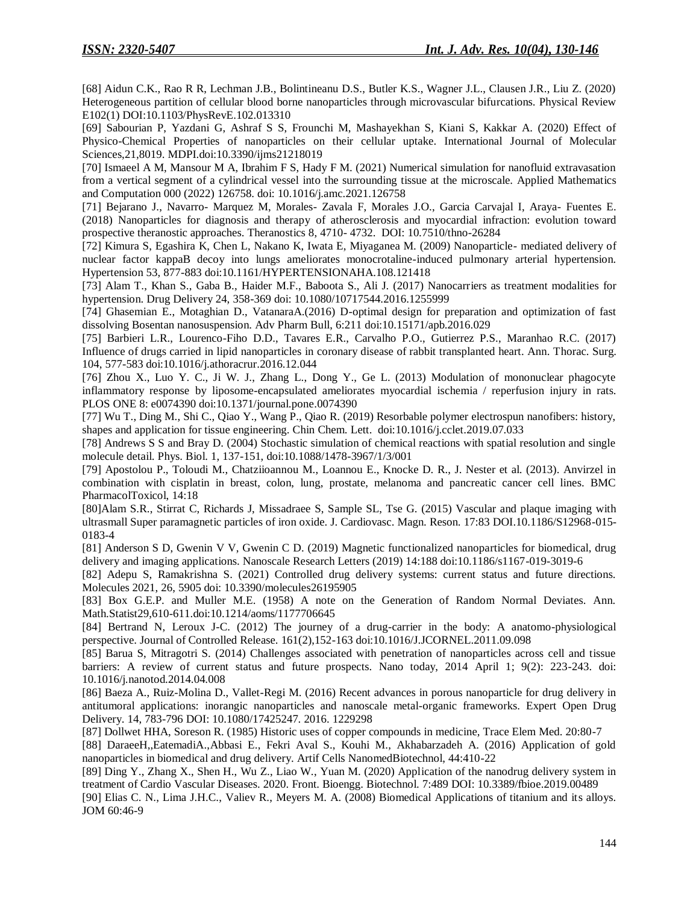[68] Aidun C.K., Rao R R, Lechman J.B., Bolintineanu D.S., Butler K.S., Wagner J.L., Clausen J.R., Liu Z. (2020) Heterogeneous partition of cellular blood borne nanoparticles through microvascular bifurcations. Physical Review E102(1) DOI:10.1103/PhysRevE.102.013310

[69] Sabourian P, Yazdani G, Ashraf S S, Frounchi M, Mashayekhan S, Kiani S, Kakkar A. (2020) Effect of Physico-Chemical Properties of nanoparticles on their cellular uptake. International Journal of Molecular Sciences,21,8019. MDPI.doi:10.3390/ijms21218019

[70] Ismaeel A M, Mansour M A, Ibrahim F S, Hady F M. (2021) Numerical simulation for nanofluid extravasation from a vertical segment of a cylindrical vessel into the surrounding tissue at the microscale. Applied Mathematics and Computation 000 (2022) 126758. doi: 10.1016/j.amc.2021.126758

[71] Bejarano J., Navarro- Marquez M, Morales- Zavala F, Morales J.O., Garcia Carvajal I, Araya- Fuentes E. (2018) Nanoparticles for diagnosis and therapy of atherosclerosis and myocardial infraction: evolution toward prospective theranostic approaches. Theranostics 8, 4710- 4732. DOI: 10.7510/thno-26284

[72] Kimura S, Egashira K, Chen L, Nakano K, Iwata E, Miyaganea M. (2009) Nanoparticle- mediated delivery of nuclear factor kappaB decoy into lungs ameliorates monocrotaline-induced pulmonary arterial hypertension. Hypertension 53, 877-883 doi:10.1161/HYPERTENSIONAHA.108.121418

[73] Alam T., Khan S., Gaba B., Haider M.F., Baboota S., Ali J. (2017) Nanocarriers as treatment modalities for hypertension. Drug Delivery 24, 358-369 doi: 10.1080/10717544.2016.1255999

[74] Ghasemian E., Motaghian D., VatanaraA.(2016) D-optimal design for preparation and optimization of fast dissolving Bosentan nanosuspension. Adv Pharm Bull, 6:211 doi:10.15171/apb.2016.029

[75] Barbieri L.R., Lourenco-Fiho D.D., Tavares E.R., Carvalho P.O., Gutierrez P.S., Maranhao R.C. (2017) Influence of drugs carried in lipid nanoparticles in coronary disease of rabbit transplanted heart. Ann. Thorac. Surg. 104, 577-583 doi:10.1016/j.athoracrur.2016.12.044

[76] Zhou X., Luo Y. C., Ji W. J., Zhang L., Dong Y., Ge L. (2013) Modulation of mononuclear phagocyte inflammatory response by liposome-encapsulated ameliorates myocardial ischemia / reperfusion injury in rats. PLOS ONE 8: e0074390 doi:10.1371/journal.pone.0074390

[77] Wu T., Ding M., Shi C., Qiao Y., Wang P., Qiao R. (2019) Resorbable polymer electrospun nanofibers: history, shapes and application for tissue engineering. Chin Chem. Lett. doi:10.1016/j.cclet.2019.07.033

[78] Andrews S S and Bray D. (2004) Stochastic simulation of chemical reactions with spatial resolution and single molecule detail. Phys. Biol. 1, 137-151, doi:10.1088/1478-3967/1/3/001

[79] Apostolou P., Toloudi M., Chatziioannou M., Loannou E., Knocke D. R., J. Nester et al. (2013). Anvirzel in combination with cisplatin in breast, colon, lung, prostate, melanoma and pancreatic cancer cell lines. BMC PharmacolToxicol, 14:18

[80]Alam S.R., Stirrat C, Richards J, Missadraee S, Sample SL, Tse G. (2015) Vascular and plaque imaging with ultrasmall Super paramagnetic particles of iron oxide. J. Cardiovasc. Magn. Reson. 17:83 DOI.10.1186/S12968-015- 0183-4

[81] Anderson S D, Gwenin V V, Gwenin C D. (2019) Magnetic functionalized nanoparticles for biomedical, drug delivery and imaging applications. Nanoscale Research Letters (2019) 14:188 doi:10.1186/s1167-019-3019-6

[82] Adepu S, Ramakrishna S. (2021) Controlled drug delivery systems: current status and future directions. Molecules 2021, 26, 5905 doi: 10.3390/molecules26195905

[83] Box G.E.P. and Muller M.E. (1958) A note on the Generation of Random Normal Deviates. Ann. Math.Statist29,610-611.doi:10.1214/aoms/1177706645

[84] Bertrand N, Leroux J-C. (2012) The journey of a drug-carrier in the body: A anatomo-physiological perspective. Journal of Controlled Release. 161(2),152-163 doi:10.1016/J.JCORNEL.2011.09.098

[85] Barua S, Mitragotri S. (2014) Challenges associated with penetration of nanoparticles across cell and tissue barriers: A review of current status and future prospects. Nano today, 2014 April 1; 9(2): 223-243. doi: 10.1016/j.nanotod.2014.04.008

[86] Baeza A., Ruiz-Molina D., Vallet-Regi M. (2016) Recent advances in porous nanoparticle for drug delivery in antitumoral applications: inorangic nanoparticles and nanoscale metal-organic frameworks. Expert Open Drug Delivery. 14, 783-796 DOI: 10.1080/17425247. 2016. 1229298

[87] Dollwet HHA, Soreson R. (1985) Historic uses of copper compounds in medicine, Trace Elem Med. 20:80-7

[88] DaraeeH,,EatemadiA.,Abbasi E., Fekri Aval S., Kouhi M., Akhabarzadeh A. (2016) Application of gold nanoparticles in biomedical and drug delivery. Artif Cells NanomedBiotechnol, 44:410-22

[89] Ding Y., Zhang X., Shen H., Wu Z., Liao W., Yuan M. (2020) Application of the nanodrug delivery system in treatment of Cardio Vascular Diseases. 2020. Front. Bioengg. Biotechnol. 7:489 DOI: 10.3389/fbioe.2019.00489

[90] Elias C. N., Lima J.H.C., Valiev R., Meyers M. A. (2008) Biomedical Applications of titanium and its alloys. JOM 60:46-9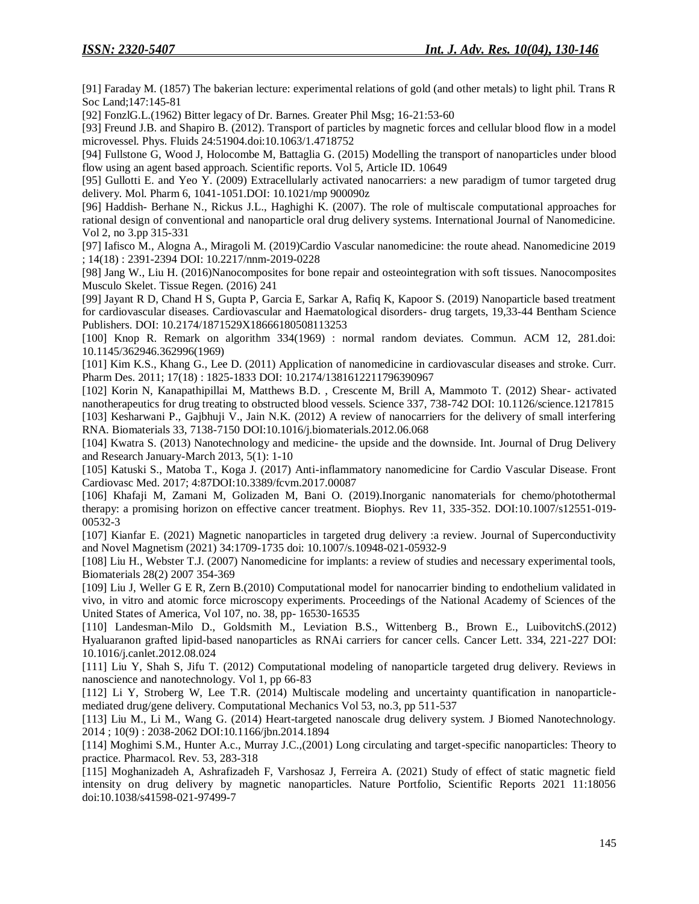[91] Faraday M. (1857) The bakerian lecture: experimental relations of gold (and other metals) to light phil. Trans R Soc Land;147:145-81

[92] FonzlG.L.(1962) Bitter legacy of Dr. Barnes. Greater Phil Msg; 16-21:53-60

[93] Freund J.B. and Shapiro B. (2012). Transport of particles by magnetic forces and cellular blood flow in a model microvessel. Phys. Fluids 24:51904.doi:10.1063/1.4718752

[94] Fullstone G, Wood J, Holocombe M, Battaglia G. (2015) Modelling the transport of nanoparticles under blood flow using an agent based approach. Scientific reports. Vol 5, Article ID. 10649

[95] Gullotti E. and Yeo Y. (2009) Extracellularly activated nanocarriers: a new paradigm of tumor targeted drug delivery. Mol. Pharm 6, 1041-1051.DOI: 10.1021/mp 900090z

[96] Haddish- Berhane N., Rickus J.L., Haghighi K. (2007). The role of multiscale computational approaches for rational design of conventional and nanoparticle oral drug delivery systems. International Journal of Nanomedicine. Vol 2, no 3.pp 315-331

[97] Iafisco M., Alogna A., Miragoli M. (2019)Cardio Vascular nanomedicine: the route ahead. Nanomedicine 2019 ; 14(18) : 2391-2394 DOI: 10.2217/nnm-2019-0228

[98] Jang W., Liu H. (2016)Nanocomposites for bone repair and osteointegration with soft tissues. Nanocomposites Musculo Skelet. Tissue Regen. (2016) 241

[99] Jayant R D, Chand H S, Gupta P, Garcia E, Sarkar A, Rafiq K, Kapoor S. (2019) Nanoparticle based treatment for cardiovascular diseases. Cardiovascular and Haematological disorders- drug targets, 19,33-44 Bentham Science Publishers. DOI: 10.2174/1871529X18666180508113253

[100] Knop R. Remark on algorithm 334(1969) : normal random deviates. Commun. ACM 12, 281.doi: 10.1145/362946.362996(1969)

[101] Kim K.S., Khang G., Lee D. (2011) Application of nanomedicine in cardiovascular diseases and stroke. Curr. Pharm Des. 2011; 17(18) : 1825-1833 DOI: 10.2174/1381612211796390967

[102] Korin N, Kanapathipillai M, Matthews B.D. , Crescente M, Brill A, Mammoto T. (2012) Shear- activated nanotherapeutics for drug treating to obstructed blood vessels. Science 337, 738-742 DOI: 10.1126/science.1217815 [103] Kesharwani P., Gajbhuji V., Jain N.K. (2012) A review of nanocarriers for the delivery of small interfering RNA. Biomaterials 33, 7138-7150 DOI:10.1016/j.biomaterials.2012.06.068

[104] Kwatra S. (2013) Nanotechnology and medicine- the upside and the downside. Int. Journal of Drug Delivery and Research January-March 2013, 5(1): 1-10

[105] Katuski S., Matoba T., Koga J. (2017) Anti-inflammatory nanomedicine for Cardio Vascular Disease. Front Cardiovasc Med. 2017; 4:87DOI:10.3389/fcvm.2017.00087

[106] Khafaji M, Zamani M, Golizaden M, Bani O. (2019).Inorganic nanomaterials for chemo/photothermal therapy: a promising horizon on effective cancer treatment. Biophys. Rev 11, 335-352. DOI:10.1007/s12551-019- 00532-3

[107] Kianfar E. (2021) Magnetic nanoparticles in targeted drug delivery :a review. Journal of Superconductivity and Novel Magnetism (2021) 34:1709-1735 doi: 10.1007/s.10948-021-05932-9

[108] Liu H., Webster T.J. (2007) Nanomedicine for implants: a review of studies and necessary experimental tools, Biomaterials 28(2) 2007 354-369

[109] Liu J, Weller G E R, Zern B.(2010) Computational model for nanocarrier binding to endothelium validated in vivo, in vitro and atomic force microscopy experiments. Proceedings of the National Academy of Sciences of the United States of America, Vol 107, no. 38, pp- 16530-16535

[110] Landesman-Milo D., Goldsmith M., Leviation B.S., Wittenberg B., Brown E., LuibovitchS.(2012) Hyaluaranon grafted lipid-based nanoparticles as RNAi carriers for cancer cells. Cancer Lett. 334, 221-227 DOI: 10.1016/j.canlet.2012.08.024

[111] Liu Y, Shah S, Jifu T. (2012) Computational modeling of nanoparticle targeted drug delivery. Reviews in nanoscience and nanotechnology. Vol 1, pp 66-83

[112] Li Y, Stroberg W, Lee T.R. (2014) Multiscale modeling and uncertainty quantification in nanoparticlemediated drug/gene delivery. Computational Mechanics Vol 53, no.3, pp 511-537

[113] Liu M., Li M., Wang G. (2014) Heart-targeted nanoscale drug delivery system. J Biomed Nanotechnology. 2014 ; 10(9) : 2038-2062 DOI:10.1166/jbn.2014.1894

[114] Moghimi S.M., Hunter A.c., Murray J.C.,(2001) Long circulating and target-specific nanoparticles: Theory to practice. Pharmacol. Rev. 53, 283-318

[115] Moghanizadeh A, Ashrafizadeh F, Varshosaz J, Ferreira A. (2021) Study of effect of static magnetic field intensity on drug delivery by magnetic nanoparticles. Nature Portfolio, Scientific Reports 2021 11:18056 doi:10.1038/s41598-021-97499-7